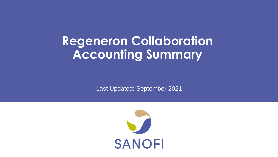## **Regeneron Collaboration Accounting Summary**

Last Updated: September 2021

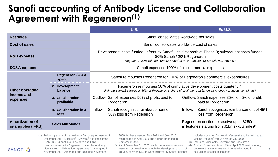## **Sanofi accounting of Antibody License and Collaboration Agreement with Regeneron(1)**

|                                                  |                                | <b>U.S.</b>                                                                                                                                                                                                    | Ex-U.S.                                                                                                    |
|--------------------------------------------------|--------------------------------|----------------------------------------------------------------------------------------------------------------------------------------------------------------------------------------------------------------|------------------------------------------------------------------------------------------------------------|
| <b>Net sales</b>                                 |                                | Sanofi consolidates worldwide net sales                                                                                                                                                                        |                                                                                                            |
| Cost of sales                                    |                                | Sanofi consolidates worldwide cost of sales                                                                                                                                                                    |                                                                                                            |
| <b>R&amp;D expense</b>                           |                                | Development costs funded upfront by Sanofi until first positive Phase 3; subsequent costs funded<br>80% Sanofi / 20% Regeneron<br>Regeneron 20% reimbursement recorded as a reduction of Sanofi R&D expense    |                                                                                                            |
| <b>SG&amp;A expense</b>                          |                                | Sanofi expenses 100% of its commercial expenses                                                                                                                                                                |                                                                                                            |
| <b>Other operating</b><br>income and<br>expenses | 1. Regeneron SG&A<br>spend     | Sanofi reimburses Regeneron for 100% of Regeneron's commercial expenditures                                                                                                                                    |                                                                                                            |
|                                                  | 2. Development<br>balance      | Regeneron reimburses 50% of cumulative development costs quarterly <sup>(2)</sup> ;<br>Reimbursement capped at 10% of Regeneron's share of profit per quarter on all Antibody products combined <sup>(3)</sup> |                                                                                                            |
|                                                  | 3. Collaboration<br>profitable | Outflow: Sanofi expenses 50% of profit; paid to<br>Regeneron                                                                                                                                                   | Outflow: Sanofi expenses 35% to 45% of profit;<br>paid to Regeneron                                        |
|                                                  | 4. Collaboration in a<br>loss  | Sanofi recognizes reimbursement of<br>Inflow:<br>50% loss from Regeneron                                                                                                                                       | Sanofi recognizes reimbursement of 45%<br>Inflow:<br>loss from Regeneron                                   |
| <b>Amortization of</b><br>intangibles (IFRS)     | <b>Sales Milestones</b>        |                                                                                                                                                                                                                | Regeneron entitled to receive up to \$250m in<br>milestones starting from \$1bn ex-US sales <sup>(4)</sup> |

(1) Following expiry of the Antibody Discovery Agreement in December 2017, Dupixent®, Kevzara® and itepekimab (SAR440340) continue to be developed and commercialized with Regeneron under the Antibody License and Collaboration Agreement (LCA) signed in November 2007, Amended and Restated November

**SANOFI** 

2009, further amended May 2013 and July 2015, restructured in April 2020 and further amended in September 2021

(2) As of December 31, 2020, such commitments received were \$3.1bn, relative to cumulative development costs of \$8.0bn, of which \$7.2bn were incurred by Sanofi; balance includes costs for Dupixent®, Kevzara® and itepekimab as well as Praluent® through March 31, 2020

 $2<sup>-1</sup>$ 

- (3) Including Dupixent®, Kevzara® and itepekimab
- (4) Praluent® removed from LCA at April 2020 restructuring, but ex-U.S. sales of Praluent® remain included in calculation of sales milestones